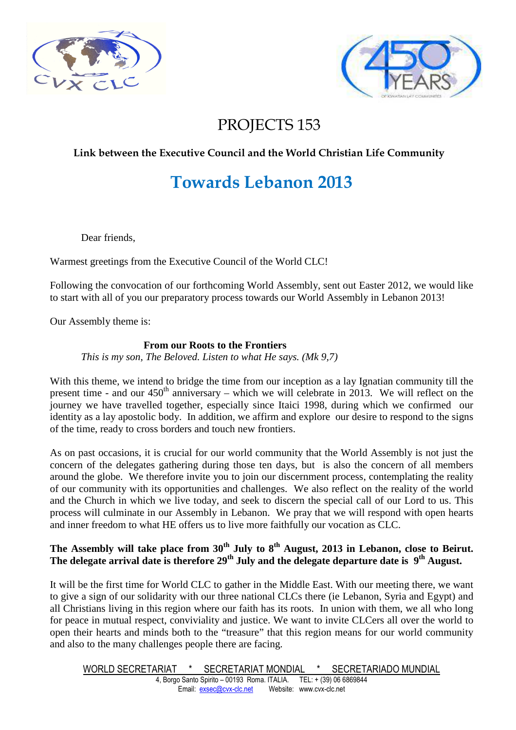



# PROJECTS 153

### **Link between the Executive Council and the World Christian Life Community**

# **Towards Lebanon 2013**

Dear friends,

Warmest greetings from the Executive Council of the World CLC!

Following the convocation of our forthcoming World Assembly, sent out Easter 2012, we would like to start with all of you our preparatory process towards our World Assembly in Lebanon 2013!

Our Assembly theme is:

### **From our Roots to the Frontiers**

*This is my son, The Beloved. Listen to what He says. (Mk 9,7)* 

With this theme, we intend to bridge the time from our inception as a lay Ignatian community till the present time - and our  $450<sup>th</sup>$  anniversary – which we will celebrate in 2013. We will reflect on the journey we have travelled together, especially since Itaici 1998, during which we confirmed our identity as a lay apostolic body. In addition, we affirm and explore our desire to respond to the signs of the time, ready to cross borders and touch new frontiers.

As on past occasions, it is crucial for our world community that the World Assembly is not just the concern of the delegates gathering during those ten days, but is also the concern of all members around the globe. We therefore invite you to join our discernment process, contemplating the reality of our community with its opportunities and challenges. We also reflect on the reality of the world and the Church in which we live today, and seek to discern the special call of our Lord to us. This process will culminate in our Assembly in Lebanon. We pray that we will respond with open hearts and inner freedom to what HE offers us to live more faithfully our vocation as CLC.

### **The Assembly will take place from 30th July to 8th August, 2013 in Lebanon, close to Beirut. The delegate arrival date is therefore 29th July and the delegate departure date is 9th August.**

It will be the first time for World CLC to gather in the Middle East. With our meeting there, we want to give a sign of our solidarity with our three national CLCs there (ie Lebanon, Syria and Egypt) and all Christians living in this region where our faith has its roots. In union with them, we all who long for peace in mutual respect, conviviality and justice. We want to invite CLCers all over the world to open their hearts and minds both to the "treasure" that this region means for our world community and also to the many challenges people there are facing.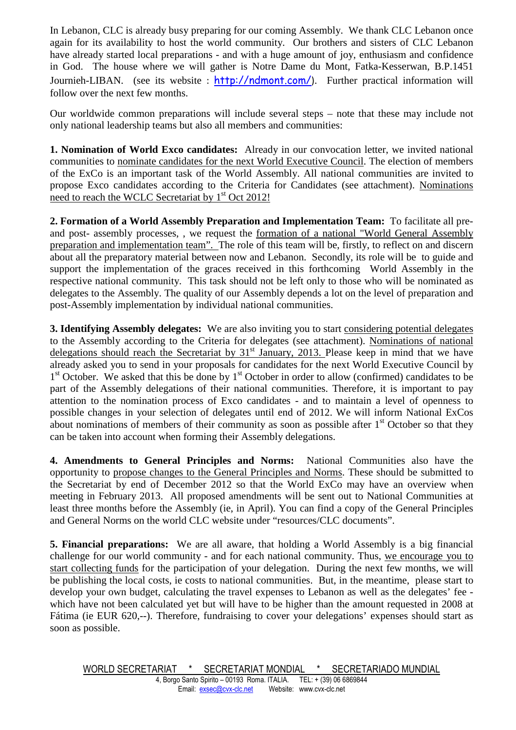In Lebanon, CLC is already busy preparing for our coming Assembly. We thank CLC Lebanon once again for its availability to host the world community. Our brothers and sisters of CLC Lebanon have already started local preparations - and with a huge amount of joy, enthusiasm and confidence in God. The house where we will gather is Notre Dame du Mont, Fatka-Kesserwan, B.P.1451 Journieh-LIBAN. (see its website: http://ndmont.com/). Further practical information will follow over the next few months.

Our worldwide common preparations will include several steps – note that these may include not only national leadership teams but also all members and communities:

**1. Nomination of World Exco candidates:** Already in our convocation letter, we invited national communities to nominate candidates for the next World Executive Council. The election of members of the ExCo is an important task of the World Assembly. All national communities are invited to propose Exco candidates according to the Criteria for Candidates (see attachment). Nominations need to reach the WCLC Secretariat by 1<sup>st</sup> Oct 2012!

**2. Formation of a World Assembly Preparation and Implementation Team:** To facilitate all preand post- assembly processes, , we request the formation of a national "World General Assembly preparation and implementation team". The role of this team will be, firstly, to reflect on and discern about all the preparatory material between now and Lebanon. Secondly, its role will be to guide and support the implementation of the graces received in this forthcoming World Assembly in the respective national community. This task should not be left only to those who will be nominated as delegates to the Assembly. The quality of our Assembly depends a lot on the level of preparation and post-Assembly implementation by individual national communities.

**3. Identifying Assembly delegates:** We are also inviting you to start considering potential delegates to the Assembly according to the Criteria for delegates (see attachment). Nominations of national delegations should reach the Secretariat by  $31<sup>st</sup>$  January, 2013. Please keep in mind that we have already asked you to send in your proposals for candidates for the next World Executive Council by 1<sup>st</sup> October. We asked that this be done by 1<sup>st</sup> October in order to allow (confirmed) candidates to be part of the Assembly delegations of their national communities. Therefore, it is important to pay attention to the nomination process of Exco candidates - and to maintain a level of openness to possible changes in your selection of delegates until end of 2012. We will inform National ExCos about nominations of members of their community as soon as possible after  $1<sup>st</sup>$  October so that they can be taken into account when forming their Assembly delegations.

**4. Amendments to General Principles and Norms:** National Communities also have the opportunity to propose changes to the General Principles and Norms. These should be submitted to the Secretariat by end of December 2012 so that the World ExCo may have an overview when meeting in February 2013. All proposed amendments will be sent out to National Communities at least three months before the Assembly (ie, in April). You can find a copy of the General Principles and General Norms on the world CLC website under "resources/CLC documents".

**5. Financial preparations:** We are all aware, that holding a World Assembly is a big financial challenge for our world community - and for each national community. Thus, we encourage you to start collecting funds for the participation of your delegation. During the next few months, we will be publishing the local costs, ie costs to national communities. But, in the meantime, please start to develop your own budget, calculating the travel expenses to Lebanon as well as the delegates' fee which have not been calculated yet but will have to be higher than the amount requested in 2008 at Fátima (ie EUR 620,--). Therefore, fundraising to cover your delegations' expenses should start as soon as possible.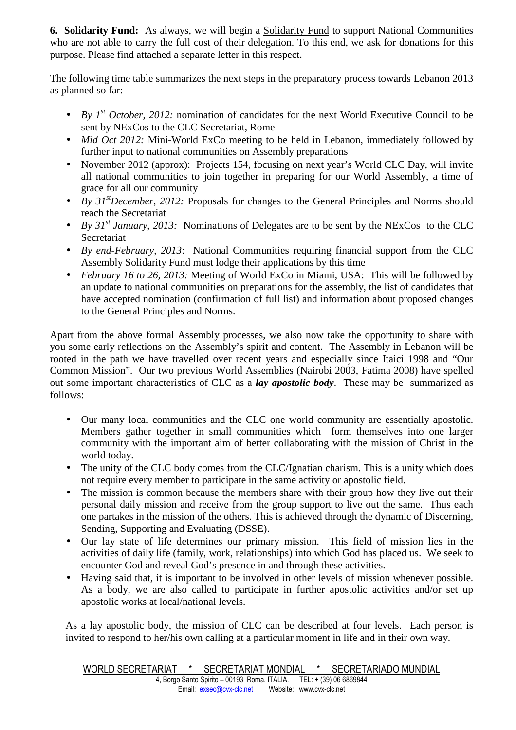**6. Solidarity Fund:** As always, we will begin a Solidarity Fund to support National Communities who are not able to carry the full cost of their delegation. To this end, we ask for donations for this purpose. Please find attached a separate letter in this respect.

The following time table summarizes the next steps in the preparatory process towards Lebanon 2013 as planned so far:

- *By 1<sup>st</sup> October, 2012:* nomination of candidates for the next World Executive Council to be sent by NExCos to the CLC Secretariat, Rome
- *Mid Oct 2012:* Mini-World ExCo meeting to be held in Lebanon, immediately followed by further input to national communities on Assembly preparations
- November 2012 (approx): Projects 154, focusing on next year's World CLC Day, will invite all national communities to join together in preparing for our World Assembly, a time of grace for all our community
- *By 31<sup>st</sup>December, 2012:* Proposals for changes to the General Principles and Norms should reach the Secretariat
- *By 31<sup>st</sup> January, 2013:* Nominations of Delegates are to be sent by the NExCos to the CLC Secretariat
- *By end-February, 2013*: National Communities requiring financial support from the CLC Assembly Solidarity Fund must lodge their applications by this time
- *February 16 to 26, 2013:* Meeting of World ExCo in Miami, USA: This will be followed by an update to national communities on preparations for the assembly, the list of candidates that have accepted nomination (confirmation of full list) and information about proposed changes to the General Principles and Norms.

Apart from the above formal Assembly processes, we also now take the opportunity to share with you some early reflections on the Assembly's spirit and content. The Assembly in Lebanon will be rooted in the path we have travelled over recent years and especially since Itaici 1998 and "Our Common Mission". Our two previous World Assemblies (Nairobi 2003, Fatima 2008) have spelled out some important characteristics of CLC as a *lay apostolic body*. These may be summarized as follows:

- Our many local communities and the CLC one world community are essentially apostolic. Members gather together in small communities which form themselves into one larger community with the important aim of better collaborating with the mission of Christ in the world today.
- The unity of the CLC body comes from the CLC/Ignatian charism. This is a unity which does not require every member to participate in the same activity or apostolic field.
- The mission is common because the members share with their group how they live out their personal daily mission and receive from the group support to live out the same. Thus each one partakes in the mission of the others. This is achieved through the dynamic of Discerning, Sending, Supporting and Evaluating (DSSE).
- Our lay state of life determines our primary mission. This field of mission lies in the activities of daily life (family, work, relationships) into which God has placed us. We seek to encounter God and reveal God's presence in and through these activities.
- Having said that, it is important to be involved in other levels of mission whenever possible. As a body, we are also called to participate in further apostolic activities and/or set up apostolic works at local/national levels.

As a lay apostolic body, the mission of CLC can be described at four levels. Each person is invited to respond to her/his own calling at a particular moment in life and in their own way.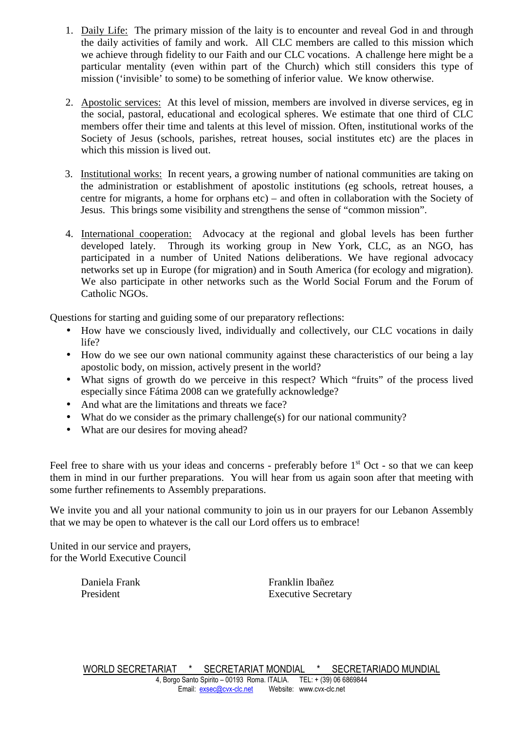- 1. Daily Life: The primary mission of the laity is to encounter and reveal God in and through the daily activities of family and work. All CLC members are called to this mission which we achieve through fidelity to our Faith and our CLC vocations. A challenge here might be a particular mentality (even within part of the Church) which still considers this type of mission ('invisible' to some) to be something of inferior value. We know otherwise.
- 2. Apostolic services: At this level of mission, members are involved in diverse services, eg in the social, pastoral, educational and ecological spheres. We estimate that one third of CLC members offer their time and talents at this level of mission. Often, institutional works of the Society of Jesus (schools, parishes, retreat houses, social institutes etc) are the places in which this mission is lived out.
- 3. Institutional works: In recent years, a growing number of national communities are taking on the administration or establishment of apostolic institutions (eg schools, retreat houses, a centre for migrants, a home for orphans etc) – and often in collaboration with the Society of Jesus. This brings some visibility and strengthens the sense of "common mission".
- 4. International cooperation: Advocacy at the regional and global levels has been further developed lately. Through its working group in New York, CLC, as an NGO, has participated in a number of United Nations deliberations. We have regional advocacy networks set up in Europe (for migration) and in South America (for ecology and migration). We also participate in other networks such as the World Social Forum and the Forum of Catholic NGOs.

Questions for starting and guiding some of our preparatory reflections:

- How have we consciously lived, individually and collectively, our CLC vocations in daily life?
- How do we see our own national community against these characteristics of our being a lay apostolic body, on mission, actively present in the world?
- What signs of growth do we perceive in this respect? Which "fruits" of the process lived especially since Fátima 2008 can we gratefully acknowledge?
- And what are the limitations and threats we face?
- What do we consider as the primary challenge(s) for our national community?
- What are our desires for moving ahead?

Feel free to share with us your ideas and concerns - preferably before  $1<sup>st</sup>$  Oct - so that we can keep them in mind in our further preparations. You will hear from us again soon after that meeting with some further refinements to Assembly preparations.

We invite you and all your national community to join us in our prayers for our Lebanon Assembly that we may be open to whatever is the call our Lord offers us to embrace!

United in our service and prayers, for the World Executive Council

Daniela Frank Franklin Ibañez President Executive Secretary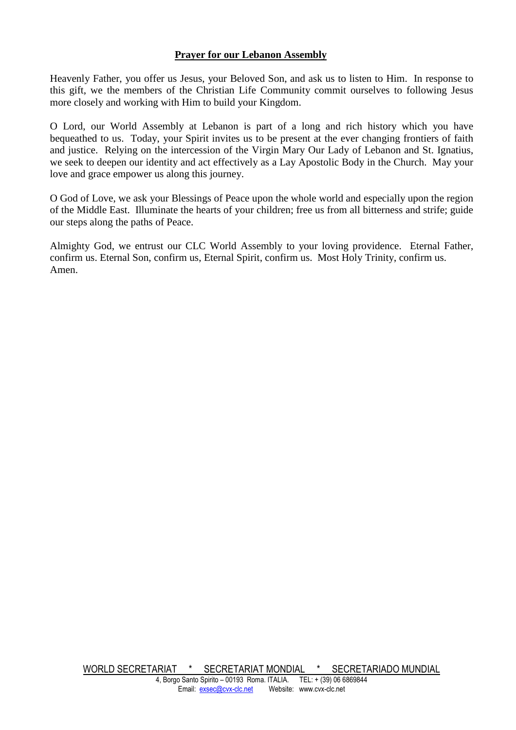### **Prayer for our Lebanon Assembly**

Heavenly Father, you offer us Jesus, your Beloved Son, and ask us to listen to Him. In response to this gift, we the members of the Christian Life Community commit ourselves to following Jesus more closely and working with Him to build your Kingdom.

O Lord, our World Assembly at Lebanon is part of a long and rich history which you have bequeathed to us. Today, your Spirit invites us to be present at the ever changing frontiers of faith and justice. Relying on the intercession of the Virgin Mary Our Lady of Lebanon and St. Ignatius, we seek to deepen our identity and act effectively as a Lay Apostolic Body in the Church. May your love and grace empower us along this journey.

O God of Love, we ask your Blessings of Peace upon the whole world and especially upon the region of the Middle East. Illuminate the hearts of your children; free us from all bitterness and strife; guide our steps along the paths of Peace.

Almighty God, we entrust our CLC World Assembly to your loving providence. Eternal Father, confirm us. Eternal Son, confirm us, Eternal Spirit, confirm us. Most Holy Trinity, confirm us. Amen.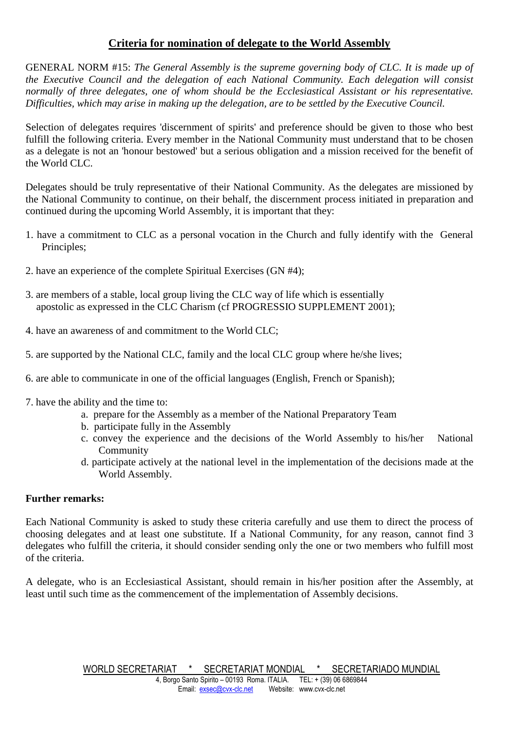### **Criteria for nomination of delegate to the World Assembly**

GENERAL NORM #15: *The General Assembly is the supreme governing body of CLC. It is made up of the Executive Council and the delegation of each National Community. Each delegation will consist normally of three delegates, one of whom should be the Ecclesiastical Assistant or his representative. Difficulties, which may arise in making up the delegation, are to be settled by the Executive Council.* 

Selection of delegates requires 'discernment of spirits' and preference should be given to those who best fulfill the following criteria. Every member in the National Community must understand that to be chosen as a delegate is not an 'honour bestowed' but a serious obligation and a mission received for the benefit of the World CLC.

Delegates should be truly representative of their National Community. As the delegates are missioned by the National Community to continue, on their behalf, the discernment process initiated in preparation and continued during the upcoming World Assembly, it is important that they:

- 1. have a commitment to CLC as a personal vocation in the Church and fully identify with the General Principles;
- 2. have an experience of the complete Spiritual Exercises (GN #4);
- 3. are members of a stable, local group living the CLC way of life which is essentially apostolic as expressed in the CLC Charism (cf PROGRESSIO SUPPLEMENT 2001);
- 4. have an awareness of and commitment to the World CLC;
- 5. are supported by the National CLC, family and the local CLC group where he/she lives;
- 6. are able to communicate in one of the official languages (English, French or Spanish);
- 7. have the ability and the time to:
	- a. prepare for the Assembly as a member of the National Preparatory Team
	- b. participate fully in the Assembly
	- c. convey the experience and the decisions of the World Assembly to his/her National Community
	- d. participate actively at the national level in the implementation of the decisions made at the World Assembly.

### **Further remarks:**

Each National Community is asked to study these criteria carefully and use them to direct the process of choosing delegates and at least one substitute. If a National Community, for any reason, cannot find 3 delegates who fulfill the criteria, it should consider sending only the one or two members who fulfill most of the criteria.

A delegate, who is an Ecclesiastical Assistant, should remain in his/her position after the Assembly, at least until such time as the commencement of the implementation of Assembly decisions.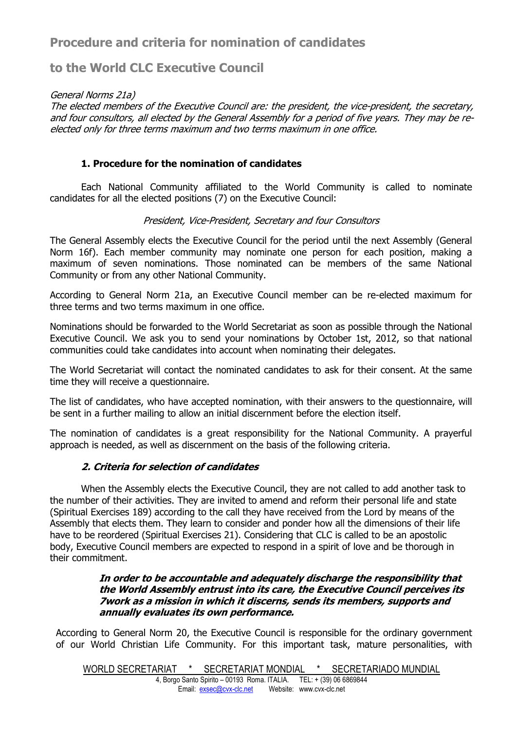## **Procedure and criteria for nomination of candidates**

## **to the World CLC Executive Council**

General Norms 21a)

The elected members of the Executive Council are: the president, the vice-president, the secretary, and four consultors, all elected by the General Assembly for a period of five years. They may be reelected only for three terms maximum and two terms maximum in one office.

### **1. Procedure for the nomination of candidates**

 Each National Community affiliated to the World Community is called to nominate candidates for all the elected positions (7) on the Executive Council:

### President, Vice-President, Secretary and four Consultors

The General Assembly elects the Executive Council for the period until the next Assembly (General Norm 16f). Each member community may nominate one person for each position, making a maximum of seven nominations. Those nominated can be members of the same National Community or from any other National Community.

According to General Norm 21a, an Executive Council member can be re-elected maximum for three terms and two terms maximum in one office.

Nominations should be forwarded to the World Secretariat as soon as possible through the National Executive Council. We ask you to send your nominations by October 1st, 2012, so that national communities could take candidates into account when nominating their delegates.

The World Secretariat will contact the nominated candidates to ask for their consent. At the same time they will receive a questionnaire.

The list of candidates, who have accepted nomination, with their answers to the questionnaire, will be sent in a further mailing to allow an initial discernment before the election itself.

The nomination of candidates is a great responsibility for the National Community. A prayerful approach is needed, as well as discernment on the basis of the following criteria.

### **2. Criteria for selection of candidates**

When the Assembly elects the Executive Council, they are not called to add another task to the number of their activities. They are invited to amend and reform their personal life and state (Spiritual Exercises 189) according to the call they have received from the Lord by means of the Assembly that elects them. They learn to consider and ponder how all the dimensions of their life have to be reordered (Spiritual Exercises 21). Considering that CLC is called to be an apostolic body, Executive Council members are expected to respond in a spirit of love and be thorough in their commitment.

#### **In order to be accountable and adequately discharge the responsibility that the World Assembly entrust into its care, the Executive Council perceives its 7work as a mission in which it discerns, sends its members, supports and annually evaluates its own performance.**

According to General Norm 20, the Executive Council is responsible for the ordinary government of our World Christian Life Community. For this important task, mature personalities, with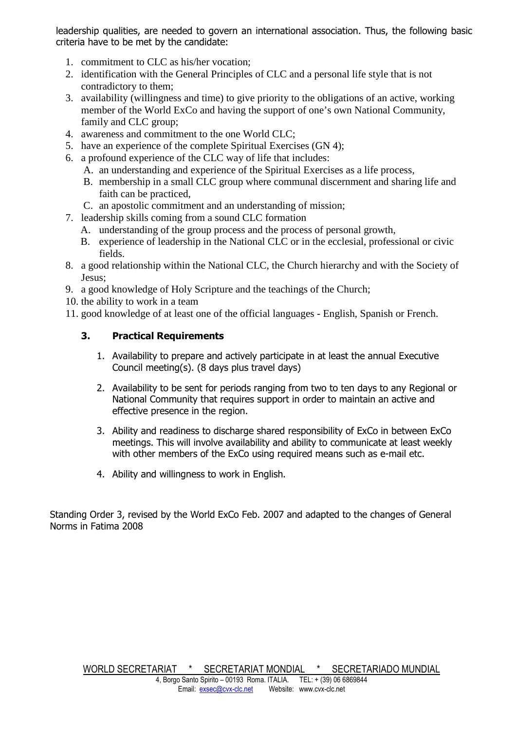leadership qualities, are needed to govern an international association. Thus, the following basic criteria have to be met by the candidate:

- 1. commitment to CLC as his/her vocation;
- 2. identification with the General Principles of CLC and a personal life style that is not contradictory to them;
- 3. availability (willingness and time) to give priority to the obligations of an active, working member of the World ExCo and having the support of one's own National Community, family and CLC group;
- 4. awareness and commitment to the one World CLC;
- 5. have an experience of the complete Spiritual Exercises (GN 4);
- 6. a profound experience of the CLC way of life that includes:
	- A. an understanding and experience of the Spiritual Exercises as a life process,
	- B. membership in a small CLC group where communal discernment and sharing life and faith can be practiced,
	- C. an apostolic commitment and an understanding of mission;
- 7. leadership skills coming from a sound CLC formation
	- A. understanding of the group process and the process of personal growth,
	- B. experience of leadership in the National CLC or in the ecclesial, professional or civic fields.
- 8. a good relationship within the National CLC, the Church hierarchy and with the Society of Jesus;
- 9. a good knowledge of Holy Scripture and the teachings of the Church;
- 10. the ability to work in a team
- 11. good knowledge of at least one of the official languages English, Spanish or French.

### **3. Practical Requirements**

- 1. Availability to prepare and actively participate in at least the annual Executive Council meeting(s). (8 days plus travel days)
- 2. Availability to be sent for periods ranging from two to ten days to any Regional or National Community that requires support in order to maintain an active and effective presence in the region.
- 3. Ability and readiness to discharge shared responsibility of ExCo in between ExCo meetings. This will involve availability and ability to communicate at least weekly with other members of the ExCo using required means such as e-mail etc.
- 4. Ability and willingness to work in English.

Standing Order 3, revised by the World ExCo Feb. 2007 and adapted to the changes of General Norms in Fatima 2008